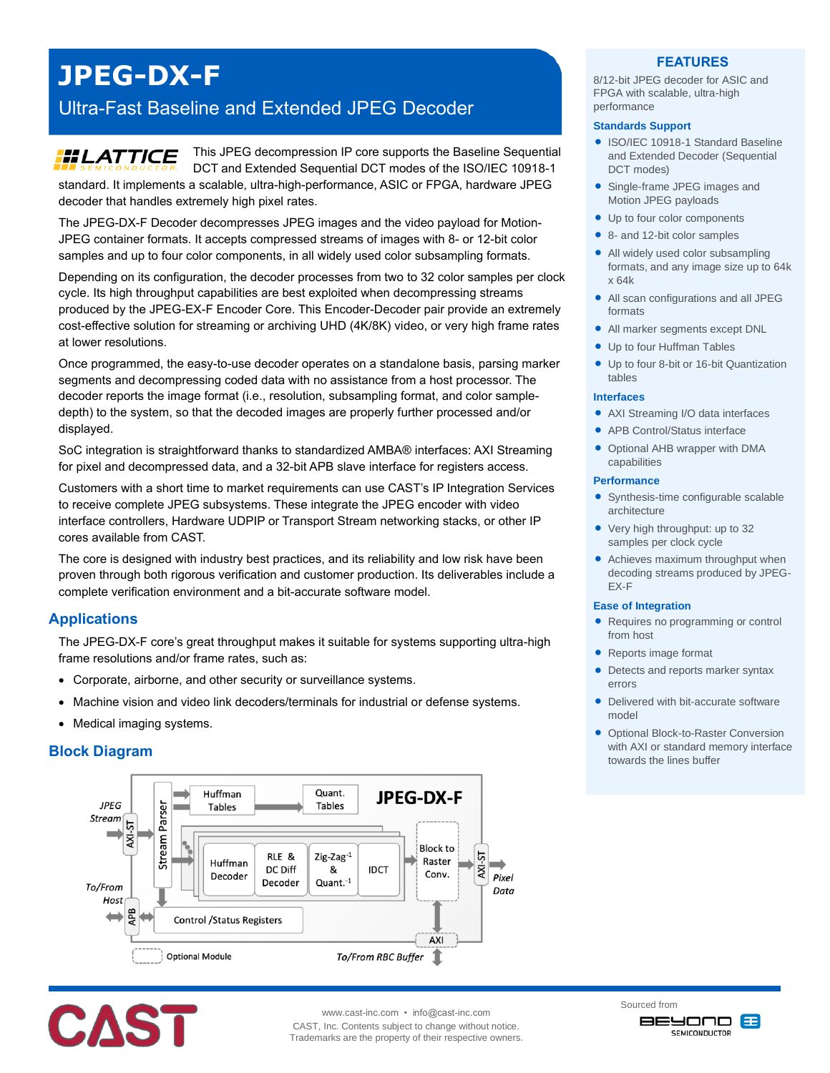# **JPEG-DX-F**

## Ultra-Fast Baseline and Extended JPEG Decoder

#### This JPEG decompression IP core supports the Baseline Sequential **HILATTICE** DCT and Extended Sequential DCT modes of the ISO/IEC 10918-1 standard. It implements a scalable, ultra-high-performance, ASIC or FPGA, hardware JPEG decoder that handles extremely high pixel rates.

The JPEG-DX-F Decoder decompresses JPEG images and the video payload for Motion-JPEG container formats. It accepts compressed streams of images with 8- or 12-bit color samples and up to four color components, in all widely used color subsampling formats.

Depending on its configuration, the decoder processes from two to 32 color samples per clock cycle. Its high throughput capabilities are best exploited when decompressing streams produced by the JPEG-EX-F Encoder Core. This Encoder-Decoder pair provide an extremely cost-effective solution for streaming or archiving UHD (4K/8K) video, or very high frame rates at lower resolutions.

Once programmed, the easy-to-use decoder operates on a standalone basis, parsing marker segments and decompressing coded data with no assistance from a host processor. The decoder reports the image format (i.e., resolution, subsampling format, and color sampledepth) to the system, so that the decoded images are properly further processed and/or displayed.

SoC integration is straightforward thanks to standardized AMBA® interfaces: AXI Streaming for pixel and decompressed data, and a 32-bit APB slave interface for registers access.

Customers with a short time to market requirements can use CAST's IP Integration Services to receive complete JPEG subsystems. These integrate the JPEG encoder with video interface controllers, Hardware UDPIP or Transport Stream networking stacks, or other IP cores available from CAST.

The core is designed with industry best practices, and its reliability and low risk have been proven through both rigorous verification and customer production. Its deliverables include a complete verification environment and a bit-accurate software model.

## **Applications**

The JPEG-DX-F core's great throughput makes it suitable for systems supporting ultra-high frame resolutions and/or frame rates, such as:

- Corporate, airborne, and other security or surveillance systems.
- Machine vision and video link decoders/terminals for industrial or defense systems.
- Medical imaging systems.

## **Block Diagram**





www.cast-inc.com • info@cast-inc.com

CAST, Inc. Contents subject to change without notice. Trademarks are the property of their respective owners.

## **FEATURES**

8/12-bit JPEG decoder for ASIC and FPGA with scalable, ultra-high performance

#### **Standards Support**

- ISO/IEC 10918-1 Standard Baseline and Extended Decoder (Sequential DCT modes)
- Single-frame JPEG images and Motion JPEG payloads
- Up to four color components
- 8- and 12-bit color samples
- All widely used color subsampling formats, and any image size up to 64k x 64k
- All scan configurations and all JPEG formats
- All marker segments except DNL
- Up to four Huffman Tables
- Up to four 8-bit or 16-bit Quantization tables

#### **Interfaces**

- AXI Streaming I/O data interfaces
- APB Control/Status interface
- Optional AHB wrapper with DMA capabilities

#### **Performance**

- Synthesis-time configurable scalable architecture
- Very high throughput: up to 32 samples per clock cycle
- Achieves maximum throughput when decoding streams produced by JPEG-EX-F

#### **Ease of Integration**

- Requires no programming or control from host
- Reports image format
- Detects and reports marker syntax errors
- Delivered with bit-accurate software model
- **Optional Block-to-Raster Conversion** with AXI or standard memory interface towards the lines buffer